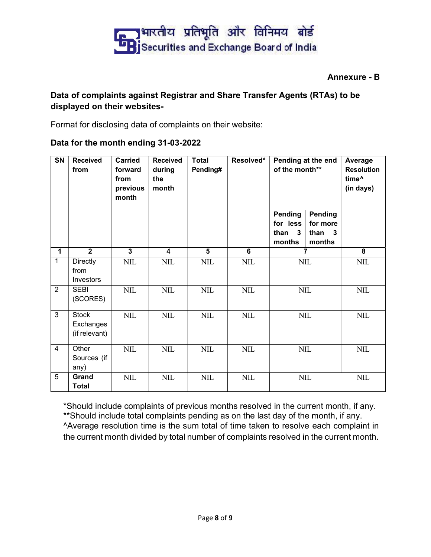

## Annexure - B

## Data of complaints against Registrar and Share Transfer Agents (RTAs) to be displayed on their websites-

Format for disclosing data of complaints on their website:

## Data for the month ending 31-03-2022

| <b>SN</b>      | <b>Received</b><br>from              | <b>Carried</b><br>forward<br>from<br>previous<br>month | <b>Received</b><br>during<br>the<br>month | <b>Total</b><br>Pending# | Resolved*      | Pending at the end<br>of the month**    |                                                | Average<br><b>Resolution</b><br>time <sup>^</sup><br>(in days) |
|----------------|--------------------------------------|--------------------------------------------------------|-------------------------------------------|--------------------------|----------------|-----------------------------------------|------------------------------------------------|----------------------------------------------------------------|
|                |                                      |                                                        |                                           |                          |                | Pending<br>for less<br>than 3<br>months | <b>Pending</b><br>for more<br>than 3<br>months |                                                                |
| $\mathbf{1}$   | $\overline{2}$                       | $\overline{3}$                                         | $\overline{\mathbf{4}}$                   | $\overline{\mathbf{5}}$  | $\overline{6}$ |                                         | $\overline{7}$                                 | $\overline{\mathbf{8}}$                                        |
| $\mathbf{1}$   | <b>Directly</b><br>from<br>Investors | $\mbox{NIL}$                                           | $\mbox{NIL}$                              | $\mbox{NIL}$             | $\mbox{NIL}$   |                                         | $\text{NIL}$                                   | $\text{NIL}$                                                   |
| 2              | <b>SEBI</b><br>(SCORES)              | <b>NIL</b>                                             | $\text{NIL}$                              | $\text{NIL}$             | $\mbox{NIL}$   |                                         | $\text{NIL}$                                   | $NIL$                                                          |
| $\mathbf{3}$   | Stock<br>Exchanges<br>(if relevant)  | <b>NIL</b>                                             | $\mbox{NIL}$                              | $\text{NIL}$             | $NIL$          |                                         | $\text{NIL}$                                   | $NIL$                                                          |
| $\overline{4}$ | Other<br>Sources (if<br>any)         | <b>NIL</b>                                             | $\text{NIL}$                              | $\text{NIL}$             | $\text{NIL}$   |                                         | $\text{NIL}$                                   | $\text{NIL}$                                                   |
| 5              | Grand<br><b>Total</b>                | $\text{NIL}$                                           | $\text{NIL}$                              | $\text{NIL}$             | $NIL$          |                                         | $NIL$                                          | $NIL$                                                          |

\*Should include complaints of previous months resolved in the current month, if any. \*\*Should include total complaints pending as on the last day of the month, if any. ^Average resolution time is the sum total of time taken to resolve each complaint in the current month divided by total number of complaints resolved in the current month.